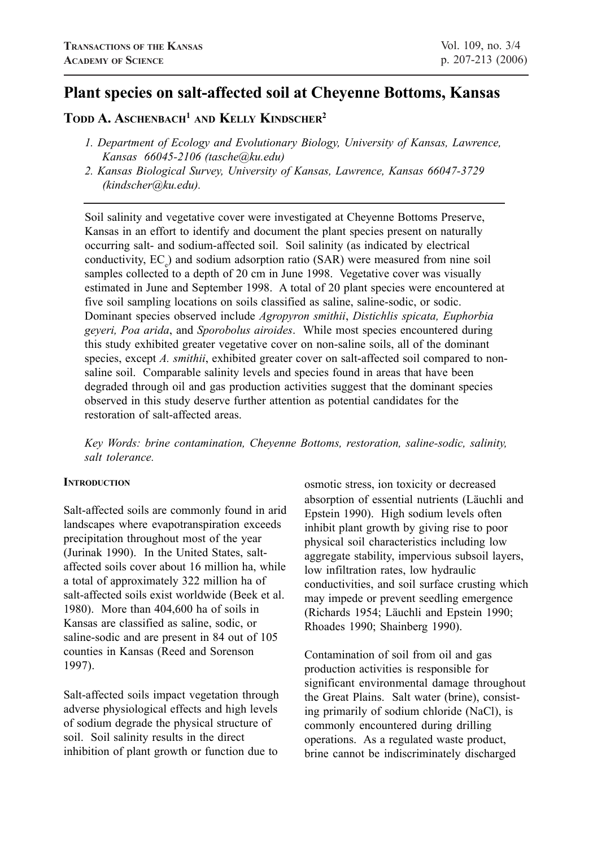# **Plant species on salt-affected soil at Cheyenne Bottoms, Kansas**

# **TODD A. ASCHENBACH1 AND KELLY KINDSCHER2**

- *1. Department of Ecology and Evolutionary Biology, University of Kansas, Lawrence, Kansas 66045-2106 (tasche@ku.edu)*
- *2. Kansas Biological Survey, University of Kansas, Lawrence, Kansas 66047-3729 (kindscher@ku.edu).*

Soil salinity and vegetative cover were investigated at Cheyenne Bottoms Preserve, Kansas in an effort to identify and document the plant species present on naturally occurring salt- and sodium-affected soil. Soil salinity (as indicated by electrical conductivity, EC<sub>e</sub>) and sodium adsorption ratio (SAR) were measured from nine soil samples collected to a depth of 20 cm in June 1998. Vegetative cover was visually estimated in June and September 1998. A total of 20 plant species were encountered at five soil sampling locations on soils classified as saline, saline-sodic, or sodic. Dominant species observed include *Agropyron smithii*, *Distichlis spicata, Euphorbia geyeri, Poa arida*, and *Sporobolus airoides*. While most species encountered during this study exhibited greater vegetative cover on non-saline soils, all of the dominant species, except *A. smithii*, exhibited greater cover on salt-affected soil compared to nonsaline soil. Comparable salinity levels and species found in areas that have been degraded through oil and gas production activities suggest that the dominant species observed in this study deserve further attention as potential candidates for the restoration of salt-affected areas.

*Key Words: brine contamination, Cheyenne Bottoms, restoration, saline-sodic, salinity, salt tolerance.*

## **INTRODUCTION**

Salt-affected soils are commonly found in arid landscapes where evapotranspiration exceeds precipitation throughout most of the year (Jurinak 1990).In the United States, saltaffected soils cover about 16 million ha, while a total of approximately 322 million ha of salt-affected soils exist worldwide (Beek et al. 1980). More than 404,600 ha of soils in Kansas are classified as saline, sodic, or saline-sodic and are present in 84 out of 105 counties in Kansas (Reed and Sorenson 1997).

Salt-affected soils impact vegetation through adverse physiological effects and high levels of sodium degrade the physical structure of soil. Soil salinity results in the direct inhibition of plant growth or function due to

osmotic stress, ion toxicity or decreased absorption of essential nutrients (Läuchli and Epstein 1990). High sodium levels often inhibit plant growth by giving rise to poor physical soil characteristics including low aggregate stability, impervious subsoil layers, low infiltration rates, low hydraulic conductivities, and soil surface crusting which may impede or prevent seedling emergence (Richards 1954; Läuchli and Epstein 1990; Rhoades 1990; Shainberg 1990).

Contamination of soil from oil and gas production activities is responsible for significant environmental damage throughout the Great Plains. Salt water (brine), consisting primarily of sodium chloride (NaCl), is commonly encountered during drilling operations. As a regulated waste product, brine cannot be indiscriminately discharged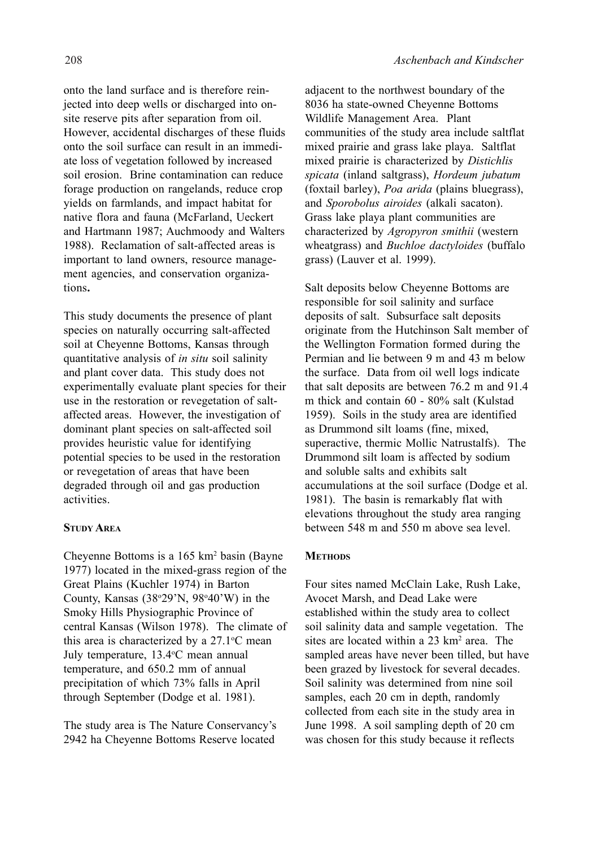onto the land surface and is therefore reinjected into deep wells or discharged into onsite reserve pits after separation from oil. However, accidental discharges of these fluids onto the soil surface can result in an immediate loss of vegetation followed by increased soil erosion. Brine contamination can reduce forage production on rangelands, reduce crop yields on farmlands, and impact habitat for native flora and fauna (McFarland, Ueckert and Hartmann 1987; Auchmoody and Walters 1988). Reclamation of salt-affected areas is important to land owners, resource management agencies, and conservation organizations**.**

This study documents the presence of plant species on naturally occurring salt-affected soil at Cheyenne Bottoms, Kansas through quantitative analysis of *in situ* soil salinity and plant cover data. This study does not experimentally evaluate plant species for their use in the restoration or revegetation of saltaffected areas. However, the investigation of dominant plant species on salt-affected soil provides heuristic value for identifying potential species to be used in the restoration or revegetation of areas that have been degraded through oil and gas production activities.

## **STUDY AREA**

Cheyenne Bottoms is a 165 km<sup>2</sup> basin (Bayne 1977) located in the mixed-grass region of the Great Plains (Kuchler 1974) in Barton County, Kansas  $(38°29'N, 98°40'W)$  in the Smoky Hills Physiographic Province of central Kansas (Wilson 1978). The climate of this area is characterized by a  $27.1^{\circ}$ C mean July temperature, 13.4°C mean annual temperature, and 650.2 mm of annual precipitation of which 73% falls in April through September (Dodge et al. 1981).

The study area is The Nature Conservancy's 2942 ha Cheyenne Bottoms Reserve located

adjacent to the northwest boundary of the 8036 ha state-owned Cheyenne Bottoms Wildlife Management Area. Plant communities of the study area include saltflat mixed prairie and grass lake playa. Saltflat mixed prairie is characterized by *Distichlis spicata* (inland saltgrass), *Hordeum jubatum* (foxtail barley), *Poa arida* (plains bluegrass), and *Sporobolus airoides* (alkali sacaton). Grass lake playa plant communities are characterized by *Agropyron smithii* (western wheatgrass) and *Buchloe dactyloides* (buffalo grass) (Lauver et al. 1999).

Salt deposits below Cheyenne Bottoms are responsible for soil salinity and surface deposits of salt. Subsurface salt deposits originate from the Hutchinson Salt member of the Wellington Formation formed during the Permian and lie between 9 m and 43 m below the surface. Data from oil well logs indicate that salt deposits are between 76.2 m and 91.4 m thick and contain 60 - 80% salt (Kulstad 1959). Soils in the study area are identified as Drummond silt loams (fine, mixed, superactive, thermic Mollic Natrustalfs). The Drummond silt loam is affected by sodium and soluble salts and exhibits salt accumulations at the soil surface (Dodge et al. 1981). The basin is remarkably flat with elevations throughout the study area ranging between 548 m and 550 m above sea level.

# **METHODS**

Four sites named McClain Lake, Rush Lake, Avocet Marsh, and Dead Lake were established within the study area to collect soil salinity data and sample vegetation. The sites are located within a 23 km<sup>2</sup> area. The sampled areas have never been tilled, but have been grazed by livestock for several decades. Soil salinity was determined from nine soil samples, each 20 cm in depth, randomly collected from each site in the study area in June 1998. A soil sampling depth of 20 cm was chosen for this study because it reflects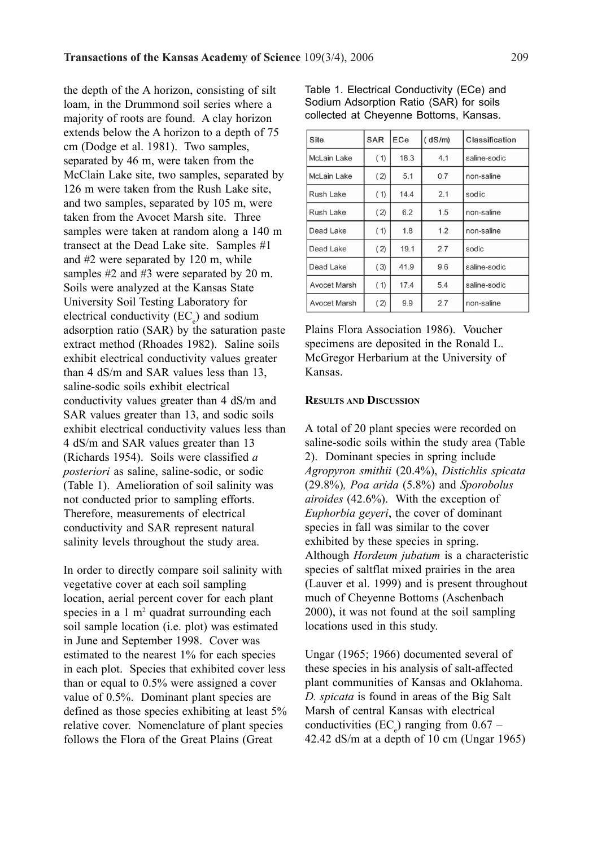the depth of the A horizon, consisting of silt loam, in the Drummond soil series where a majority of roots are found. A clay horizon extends below the A horizon to a depth of 75 cm (Dodge et al. 1981). Two samples, separated by 46 m, were taken from the McClain Lake site, two samples, separated by 126 m were taken from the Rush Lake site, and two samples, separated by 105 m, were taken from the Avocet Marsh site. Three samples were taken at random along a 140 m transect at the Dead Lake site. Samples #1 and #2 were separated by 120 m, while samples #2 and #3 were separated by 20 m. Soils were analyzed at the Kansas State University Soil Testing Laboratory for electrical conductivity  $(EC_e)$  and sodium adsorption ratio (SAR) by the saturation paste extract method (Rhoades 1982). Saline soils exhibit electrical conductivity values greater than 4 dS/m and SAR values less than 13, saline-sodic soils exhibit electrical conductivity values greater than 4 dS/m and SAR values greater than 13, and sodic soils exhibit electrical conductivity values less than 4 dS/m and SAR values greater than 13 (Richards 1954). Soils were classified *a posteriori* as saline, saline-sodic, or sodic (Table 1). Amelioration of soil salinity was not conducted prior to sampling efforts. Therefore, measurements of electrical conductivity and SAR represent natural salinity levels throughout the study area.

In order to directly compare soil salinity with vegetative cover at each soil sampling location, aerial percent cover for each plant species in a  $1 \text{ m}^2$  quadrat surrounding each soil sample location (i.e. plot) was estimated in June and September 1998. Cover was estimated to the nearest 1% for each species in each plot. Species that exhibited cover less than or equal to 0.5% were assigned a cover value of 0.5%. Dominant plant species are defined as those species exhibiting at least 5% relative cover. Nomenclature of plant species follows the Flora of the Great Plains (Great

| <b>Site</b>         | <b>SAR</b> | ECe  | (dS/m) | Classification |  |
|---------------------|------------|------|--------|----------------|--|
| McLain Lake         | (1)        | 18.3 | 4.1    | saline-sodic   |  |
| <b>McLain Lake</b>  | (2)        | 5.1  | 0.7    | non-saline     |  |
| Rush Lake           | (1)        | 14.4 | 2.1    | sodiic         |  |
| Rush Lake           | (2)        | 6.2  | 1.5    | non-saline     |  |
| Dead Lake           | (1)        | 1.8  | 1.2    | non-saline     |  |
| Dead Lake           | (2)        | 19.1 | 2.7    | sodic          |  |
| Dead Lake           | (3)        | 41.9 | 9.6    | saline-sodic   |  |
| <b>Avocet Marsh</b> | (1)        | 17.4 | 5.4    | saline-sodic   |  |
| Avocet Marsh        | (2)        | 9.9  | 2.7    | non-saline     |  |

Table 1. Electrical Conductivity (ECe) and Sodium Adsorption Ratio (SAR) for soils collected at Cheyenne Bottoms, Kansas.

Plains Flora Association 1986). Voucher specimens are deposited in the Ronald L. McGregor Herbarium at the University of Kansas.

## **RESULTS AND DISCUSSION**

A total of 20 plant species were recorded on saline-sodic soils within the study area (Table 2). Dominant species in spring include *Agropyron smithii* (20.4%), *Distichlis spicata* (29.8%)*, Poa arida* (5.8%) and *Sporobolus airoides* (42.6%). With the exception of *Euphorbia geyeri*, the cover of dominant species in fall was similar to the cover exhibited by these species in spring. Although *Hordeum jubatum* is a characteristic species of saltflat mixed prairies in the area (Lauver et al. 1999) and is present throughout much of Cheyenne Bottoms (Aschenbach 2000), it was not found at the soil sampling locations used in this study.

Ungar (1965; 1966) documented several of these species in his analysis of salt-affected plant communities of Kansas and Oklahoma. *D. spicata* is found in areas of the Big Salt Marsh of central Kansas with electrical conductivities (EC<sub>e</sub>) ranging from  $0.67$  – 42.42 dS/m at a depth of 10 cm (Ungar 1965)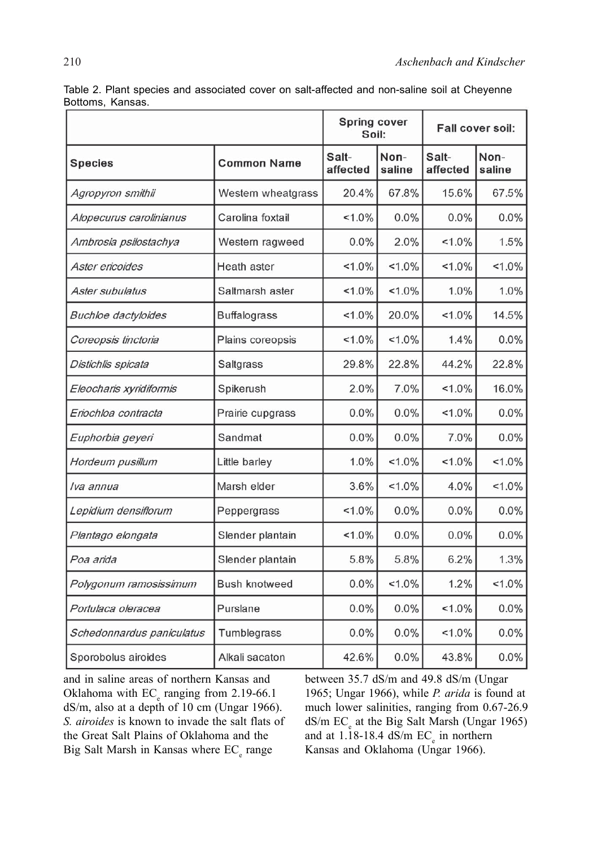|                            |                      | <b>Spring cover</b><br>Soil: |                | Fall cover soil:  |                |
|----------------------------|----------------------|------------------------------|----------------|-------------------|----------------|
| <b>Species</b>             | <b>Common Name</b>   | Salt-<br>affected            | Non-<br>saline | Salt-<br>affected | Non-<br>saline |
| Agropyron smithii          | Western wheatgrass   | 20.4%                        | 67.8%          | 15.6%             | 67.5%          |
| Alopecurus carolinianus    | Carolina foxtail     | $1.0\%$                      | 0.0%           | 0.0%              | 0.0%           |
| Ambrosia psilostachya      | Western ragweed      | 0.0%                         | 2.0%           | $1.0\%$           | 1.5%           |
| Aster ericoides            | Heath aster          | $1.0\%$                      | $1.0\%$        | $1.0\%$           | $1.0\%$        |
| Aster subulatus            | Saltmarsh aster      | $< 1.0\%$                    | $1.0\%$        | 1.0%              | 1.0%           |
| <b>Buchloe</b> dactyloides | <b>Buffalograss</b>  | $1.0\%$                      | 20.0%          | $1.0\%$           | 14.5%          |
| Coreopsis tinctoria        | Plains coreopsis     | $< 1.0\%$                    | $1.0\%$        | 1.4%              | 0.0%           |
| Distichlis spicata         | Saltgrass            | 29.8%                        | 22.8%          | 44.2%             | 22.8%          |
| Eleocharis xyridiformis    | Spikerush            | 2.0%                         | 7.0%           | $1.0\%$           | 16.0%          |
| Eriochloa contracta        | Prairie cupgrass     | 0.0%                         | 0.0%           | $1.0\%$           | 0.0%           |
| Euphorbia geyeri           | Sandmat              | 0.0%                         | 0.0%           | 7.0%              | 0.0%           |
| Hordeum pusillum           | Little barley        | 1.0%                         | $1.0\%$        | $1.0\%$           | $1.0\%$        |
| lva annua                  | Marsh elder          | 3.6%                         | $1.0\%$        | 4.0%              | $1.0\%$        |
| Lepidium densiflorum       | Peppergrass          | $1.0\%$                      | 0.0%           | 0.0%              | 0.0%           |
| Plantago elongata          | Slender plantain     | $1.0\%$                      | 0.0%           | 0.0%              | 0.0%           |
| Poa arida                  | Slender plantain     | 5.8%                         | 5.8%           | 6.2%              | 1.3%           |
| Polygonum ramosissimum     | <b>Bush knotweed</b> | 0.0%                         | $1.0\%$        | 1.2%              | $1.0\%$        |
| Portulaca oleracea         | Purslane             | 0.0%                         | 0.0%           | $< 1.0\%$         | 0.0%           |
| Schedonnardus paniculatus  | Tumblegrass          | 0.0%                         | 0.0%           | $1.0\%$           | 0.0%           |
| Sporobolus airoides        | Alkali sacaton       | 42.6%                        | 0.0%           | 43.8%             | 0.0%           |

Table 2. Plant species and associated cover on salt-affected and non-saline soil at Cheyenne Bottoms, Kansas.

and in saline areas of northern Kansas and Oklahoma with  $EC_e$  ranging from 2.19-66.1 dS/m, also at a depth of 10 cm (Ungar 1966). *S. airoides* is known to invade the salt flats of the Great Salt Plains of Oklahoma and the Big Salt Marsh in Kansas where  $EC_{e}$  range

between 35.7 dS/m and 49.8 dS/m (Ungar 1965; Ungar 1966), while *P. arida* is found at much lower salinities, ranging from 0.67-26.9 dS/m EC<sub>e</sub> at the Big Salt Marsh (Ungar 1965) and at 1.18-18.4  $dS/m$   $EC_e$  in northern Kansas and Oklahoma (Ungar 1966).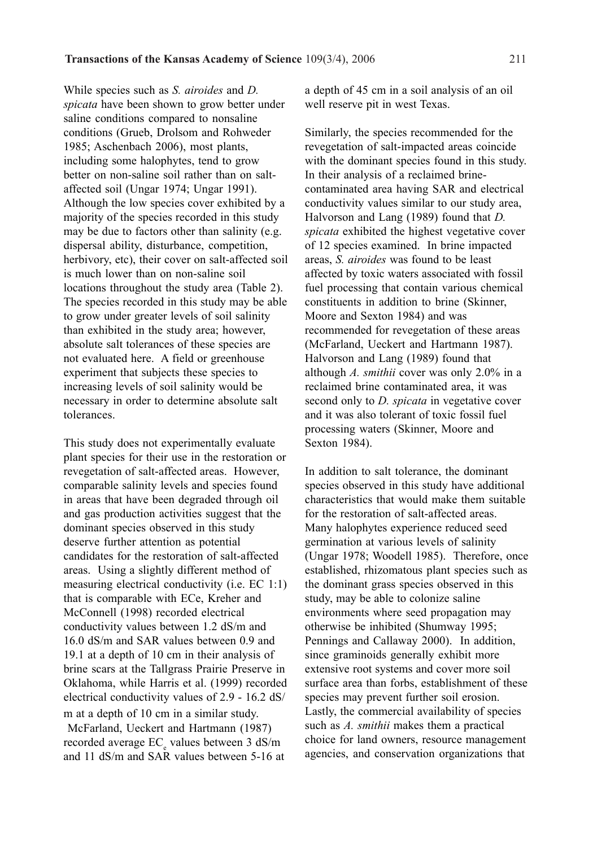While species such as *S. airoides* and *D. spicata* have been shown to grow better under saline conditions compared to nonsaline conditions (Grueb, Drolsom and Rohweder 1985; Aschenbach 2006), most plants, including some halophytes, tend to grow better on non-saline soil rather than on saltaffected soil (Ungar 1974; Ungar 1991). Although the low species cover exhibited by a majority of the species recorded in this study may be due to factors other than salinity (e.g. dispersal ability, disturbance, competition, herbivory, etc), their cover on salt-affected soil is much lower than on non-saline soil locations throughout the study area (Table 2). The species recorded in this study may be able to grow under greater levels of soil salinity than exhibited in the study area; however, absolute salt tolerances of these species are not evaluated here. A field or greenhouse experiment that subjects these species to increasing levels of soil salinity would be necessary in order to determine absolute salt tolerances.

This study does not experimentally evaluate plant species for their use in the restoration or revegetation of salt-affected areas. However, comparable salinity levels and species found in areas that have been degraded through oil and gas production activities suggest that the dominant species observed in this study deserve further attention as potential candidates for the restoration of salt-affected areas. Using a slightly different method of measuring electrical conductivity (i.e. EC 1:1) that is comparable with ECe, Kreher and McConnell (1998) recorded electrical conductivity values between 1.2 dS/m and 16.0 dS/m and SAR values between 0.9 and 19.1 at a depth of 10 cm in their analysis of brine scars at the Tallgrass Prairie Preserve in Oklahoma, while Harris et al. (1999) recorded electrical conductivity values of 2.9 - 16.2 dS/ m at a depth of 10 cm in a similar study. McFarland, Ueckert and Hartmann (1987) recorded average  $EC_{\rm e}$  values between 3 dS/m and 11 dS/m and SAR values between 5-16 at

a depth of 45 cm in a soil analysis of an oil well reserve pit in west Texas.

Similarly, the species recommended for the revegetation of salt-impacted areas coincide with the dominant species found in this study. In their analysis of a reclaimed brinecontaminated area having SAR and electrical conductivity values similar to our study area, Halvorson and Lang (1989) found that *D. spicata* exhibited the highest vegetative cover of 12 species examined. In brine impacted areas, *S. airoides* was found to be least affected by toxic waters associated with fossil fuel processing that contain various chemical constituents in addition to brine (Skinner, Moore and Sexton 1984) and was recommended for revegetation of these areas (McFarland, Ueckert and Hartmann 1987). Halvorson and Lang (1989) found that although *A. smithii* cover was only 2.0% in a reclaimed brine contaminated area, it was second only to *D. spicata* in vegetative cover and it was also tolerant of toxic fossil fuel processing waters (Skinner, Moore and Sexton 1984).

In addition to salt tolerance, the dominant species observed in this study have additional characteristics that would make them suitable for the restoration of salt-affected areas. Many halophytes experience reduced seed germination at various levels of salinity (Ungar 1978; Woodell 1985). Therefore, once established, rhizomatous plant species such as the dominant grass species observed in this study, may be able to colonize saline environments where seed propagation may otherwise be inhibited (Shumway 1995; Pennings and Callaway 2000). In addition, since graminoids generally exhibit more extensive root systems and cover more soil surface area than forbs, establishment of these species may prevent further soil erosion. Lastly, the commercial availability of species such as *A. smithii* makes them a practical choice for land owners, resource management agencies, and conservation organizations that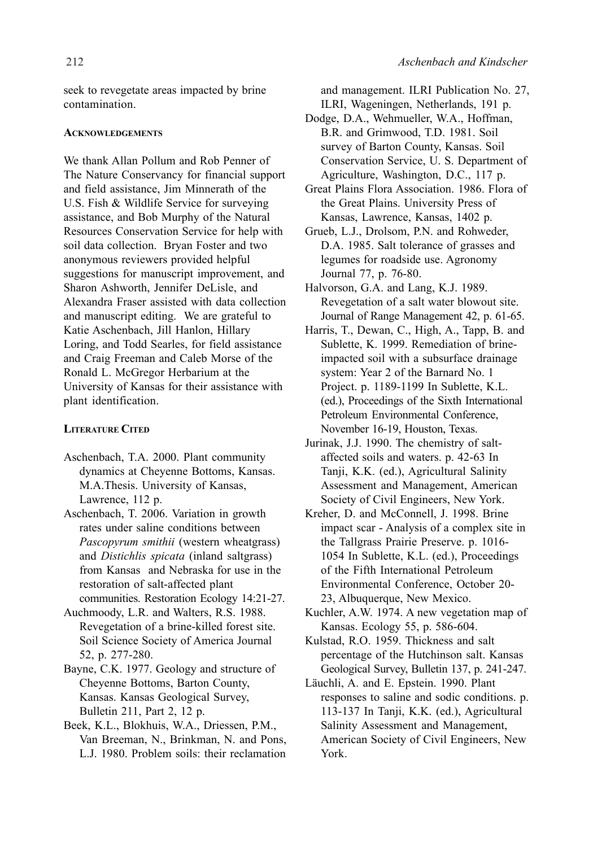seek to revegetate areas impacted by brine contamination.

## **ACKNOWLEDGEMENTS**

We thank Allan Pollum and Rob Penner of The Nature Conservancy for financial support and field assistance, Jim Minnerath of the U.S. Fish & Wildlife Service for surveying assistance, and Bob Murphy of the Natural Resources Conservation Service for help with soil data collection. Bryan Foster and two anonymous reviewers provided helpful suggestions for manuscript improvement, and Sharon Ashworth, Jennifer DeLisle, and Alexandra Fraser assisted with data collection and manuscript editing. We are grateful to Katie Aschenbach, Jill Hanlon, Hillary Loring, and Todd Searles, for field assistance and Craig Freeman and Caleb Morse of the Ronald L. McGregor Herbarium at the University of Kansas for their assistance with plant identification.

# **LITERATURE CITED**

- Aschenbach, T.A. 2000. Plant community dynamics at Cheyenne Bottoms, Kansas. M.A.Thesis. University of Kansas, Lawrence, 112 p.
- Aschenbach, T. 2006. Variation in growth rates under saline conditions between *Pascopyrum smithii* (western wheatgrass) and *Distichlis spicata* (inland saltgrass) from Kansas and Nebraska for use in the restoration of salt-affected plant communities. Restoration Ecology 14:21-27.
- Auchmoody, L.R. and Walters, R.S. 1988. Revegetation of a brine-killed forest site. Soil Science Society of America Journal 52, p. 277-280.
- Bayne, C.K. 1977. Geology and structure of Cheyenne Bottoms, Barton County, Kansas. Kansas Geological Survey, Bulletin 211, Part 2, 12 p.
- Beek, K.L., Blokhuis, W.A., Driessen, P.M., Van Breeman, N., Brinkman, N. and Pons, L.J. 1980. Problem soils: their reclamation

and management. ILRI Publication No. 27,

ILRI, Wageningen, Netherlands, 191 p.

- Dodge, D.A., Wehmueller, W.A., Hoffman, B.R. and Grimwood, T.D. 1981. Soil survey of Barton County, Kansas. Soil Conservation Service, U. S. Department of Agriculture, Washington, D.C., 117 p.
- Great Plains Flora Association. 1986. Flora of the Great Plains. University Press of Kansas, Lawrence, Kansas, 1402 p.
- Grueb, L.J., Drolsom, P.N. and Rohweder, D.A. 1985. Salt tolerance of grasses and legumes for roadside use. Agronomy Journal 77, p. 76-80.
- Halvorson, G.A. and Lang, K.J. 1989. Revegetation of a salt water blowout site. Journal of Range Management 42, p. 61-65.
- Harris, T., Dewan, C., High, A., Tapp, B. and Sublette, K. 1999. Remediation of brineimpacted soil with a subsurface drainage system: Year 2 of the Barnard No. 1 Project. p. 1189-1199 In Sublette, K.L. (ed.), Proceedings of the Sixth International Petroleum Environmental Conference, November 16-19, Houston, Texas.
- Jurinak, J.J. 1990. The chemistry of saltaffected soils and waters. p. 42-63 In Tanji, K.K. (ed.), Agricultural Salinity Assessment and Management, American Society of Civil Engineers, New York.
- Kreher, D. and McConnell, J. 1998. Brine impact scar - Analysis of a complex site in the Tallgrass Prairie Preserve. p. 1016- 1054 In Sublette, K.L. (ed.), Proceedings of the Fifth International Petroleum Environmental Conference, October 20- 23, Albuquerque, New Mexico.
- Kuchler, A.W. 1974. A new vegetation map of Kansas. Ecology 55, p. 586-604.
- Kulstad, R.O. 1959. Thickness and salt percentage of the Hutchinson salt. Kansas Geological Survey, Bulletin 137, p. 241-247.
- Läuchli, A. and E. Epstein. 1990. Plant responses to saline and sodic conditions. p. 113-137 In Tanji, K.K. (ed.), Agricultural Salinity Assessment and Management, American Society of Civil Engineers, New York.